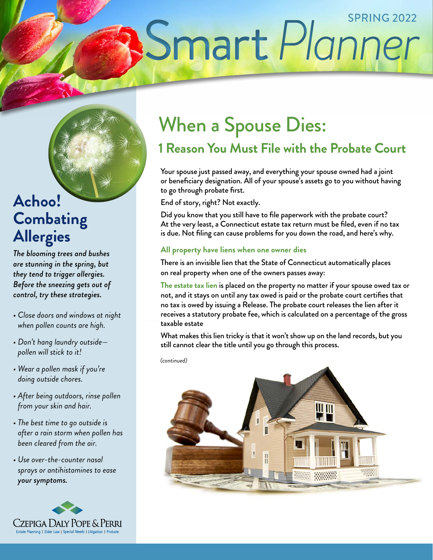# Smart Planner

## **Achoo! Combating Allergies**

*The blooming trees and bushes are stunning in the spring, but they tend to trigger allergies. Before the sneezing gets out of control, try these strategies.*

- *Close doors and windows at night when pollen counts are high.*
- *Don't hang laundry outside pollen will stick to it!*
- *Wear a pollen mask if you're doing outside chores.*
- *After being outdoors, rinse pollen from your skin and hair.*
- *The best time to go outside is after a rain storm when pollen has been cleared from the air.*
- *Use over-the-counter nasal sprays or antihistamines to ease your symptoms.*



# When a Spouse Dies:

## **1 Reason You Must File with the Probate Court**

Your spouse just passed away, and everything your spouse owned had a joint or beneficiary designation. All of your spouse's assets go to you without having to go through probate first.

End of story, right? Not exactly.

Did you know that you still have to file paperwork with the probate court? At the very least, a Connecticut estate tax return must be filed, even if no tax is due. Not filing can cause problems for you down the road, and here's why.

#### **All property have liens when one owner dies**

There is an invisible lien that the State of Connecticut automatically places on real property when one of the owners passes away:

**The estate tax lien** is placed on the property no matter if your spouse owed tax or not, and it stays on until any tax owed is paid or the probate court certifies that no tax is owed by issuing a Release. The probate court releases the lien after it receives a statutory probate fee, which is calculated on a percentage of the gross taxable estate

What makes this lien tricky is that it won't show up on the land records, but you still cannot clear the title until you go through this process.

*(continued)*

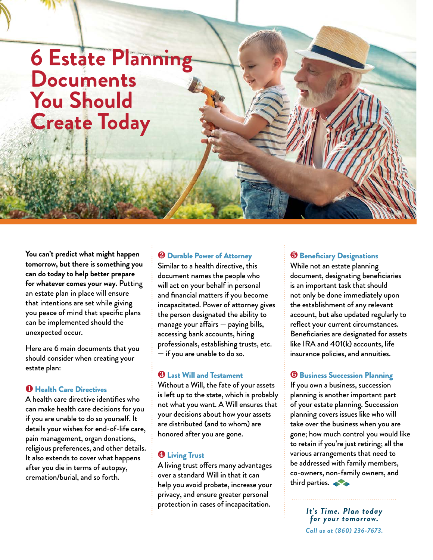# **6 Estate Planning Documents You Should Create Today**

**You can't predict what might happen tomorrow, but there is something you can do today to help better prepare for whatever comes your way.** Putting an estate plan in place will ensure that intentions are set while giving you peace of mind that specific plans can be implemented should the unexpected occur.

Here are 6 main documents that you should consider when creating your estate plan:

#### ❶ Health Care Directives

A health care directive identifies who can make health care decisions for you if you are unable to do so yourself. It details your wishes for end-of-life care, pain management, organ donations, religious preferences, and other details. It also extends to cover what happens after you die in terms of autopsy, cremation/burial, and so forth.

#### ❷ Durable Power of Attorney

Similar to a health directive, this document names the people who will act on your behalf in personal and financial matters if you become incapacitated. Power of attorney gives the person designated the ability to manage your affairs  $-$  paying bills, accessing bank accounts, hiring professionals, establishing trusts, etc. — if you are unable to do so.

#### ❸ Last Will and Testament

Without a Will, the fate of your assets is left up to the state, which is probably not what you want. A Will ensures that your decisions about how your assets are distributed (and to whom) are honored after you are gone.

#### **<sup>4</sup>** Living Trust

A living trust offers many advantages over a standard Will in that it can help you avoid probate, increase your privacy, and ensure greater personal protection in cases of incapacitation.

#### ❺ Beneficiary Designations

While not an estate planning document, designating beneficiaries is an important task that should not only be done immediately upon the establishment of any relevant account, but also updated regularly to reflect your current circumstances. Beneficiaries are designated for assets like IRA and 401(k) accounts, life insurance policies, and annuities.

#### **<sup>6</sup>** Business Succession Planning

If you own a business, succession planning is another important part of your estate planning. Succession planning covers issues like who will take over the business when you are gone; how much control you would like to retain if you're just retiring; all the various arrangements that need to be addressed with family members, co-owners, non-family owners, and third parties.

> *It's Time. Plan today for your tomorrow. Call us at (860) 236-7673.*